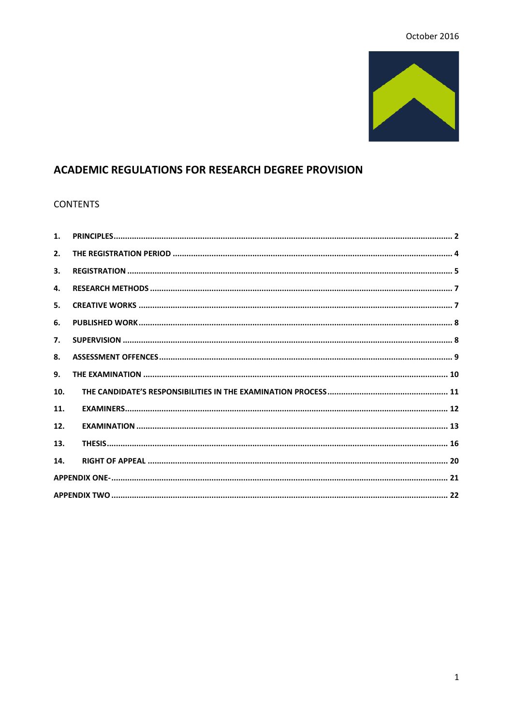## October 2016



# **ACADEMIC REGULATIONS FOR RESEARCH DEGREE PROVISION**

#### **CONTENTS**

| 1.  |  |  |  |
|-----|--|--|--|
| 2.  |  |  |  |
| 3.  |  |  |  |
| 4.  |  |  |  |
| 5.  |  |  |  |
| 6.  |  |  |  |
| 7.  |  |  |  |
| 8.  |  |  |  |
| 9.  |  |  |  |
| 10. |  |  |  |
| 11. |  |  |  |
| 12. |  |  |  |
| 13. |  |  |  |
| 14. |  |  |  |
|     |  |  |  |
|     |  |  |  |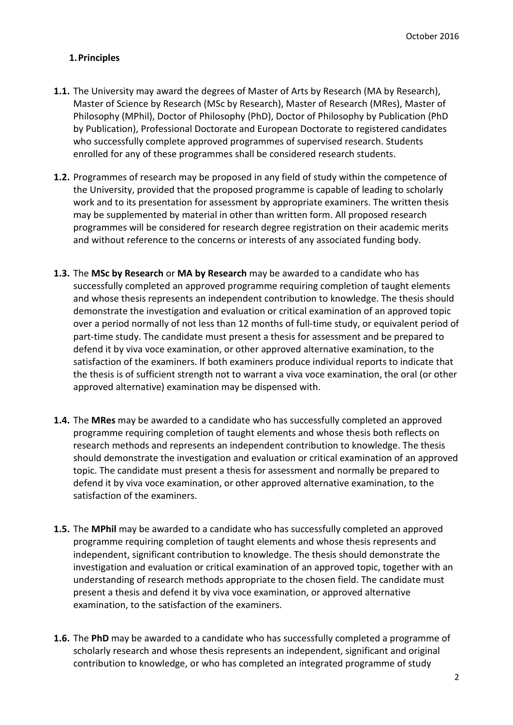## <span id="page-1-0"></span>**1.Principles**

- **1.1.** The University may award the degrees of Master of Arts by Research (MA by Research), Master of Science by Research (MSc by Research), Master of Research (MRes), Master of Philosophy (MPhil), Doctor of Philosophy (PhD), Doctor of Philosophy by Publication (PhD by Publication), Professional Doctorate and European Doctorate to registered candidates who successfully complete approved programmes of supervised research. Students enrolled for any of these programmes shall be considered research students.
- **1.2.** Programmes of research may be proposed in any field of study within the competence of the University, provided that the proposed programme is capable of leading to scholarly work and to its presentation for assessment by appropriate examiners. The written thesis may be supplemented by material in other than written form. All proposed research programmes will be considered for research degree registration on their academic merits and without reference to the concerns or interests of any associated funding body.
- **1.3.** The **MSc by Research** or **MA by Research** may be awarded to a candidate who has successfully completed an approved programme requiring completion of taught elements and whose thesis represents an independent contribution to knowledge. The thesis should demonstrate the investigation and evaluation or critical examination of an approved topic over a period normally of not less than 12 months of full-time study, or equivalent period of part-time study. The candidate must present a thesis for assessment and be prepared to defend it by viva voce examination, or other approved alternative examination, to the satisfaction of the examiners. If both examiners produce individual reports to indicate that the thesis is of sufficient strength not to warrant a viva voce examination, the oral (or other approved alternative) examination may be dispensed with.
- **1.4.** The **MRes** may be awarded to a candidate who has successfully completed an approved programme requiring completion of taught elements and whose thesis both reflects on research methods and represents an independent contribution to knowledge. The thesis should demonstrate the investigation and evaluation or critical examination of an approved topic. The candidate must present a thesis for assessment and normally be prepared to defend it by viva voce examination, or other approved alternative examination, to the satisfaction of the examiners.
- **1.5.** The **MPhil** may be awarded to a candidate who has successfully completed an approved programme requiring completion of taught elements and whose thesis represents and independent, significant contribution to knowledge. The thesis should demonstrate the investigation and evaluation or critical examination of an approved topic, together with an understanding of research methods appropriate to the chosen field. The candidate must present a thesis and defend it by viva voce examination, or approved alternative examination, to the satisfaction of the examiners.
- **1.6.** The **PhD** may be awarded to a candidate who has successfully completed a programme of scholarly research and whose thesis represents an independent, significant and original contribution to knowledge, or who has completed an integrated programme of study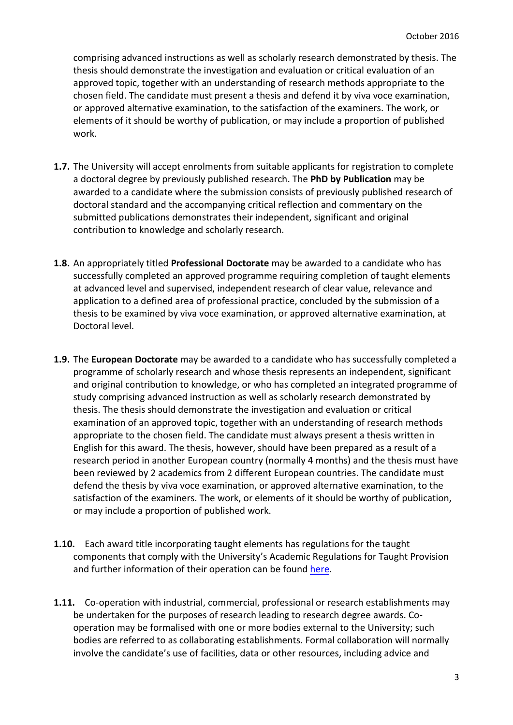comprising advanced instructions as well as scholarly research demonstrated by thesis. The thesis should demonstrate the investigation and evaluation or critical evaluation of an approved topic, together with an understanding of research methods appropriate to the chosen field. The candidate must present a thesis and defend it by viva voce examination, or approved alternative examination, to the satisfaction of the examiners. The work, or elements of it should be worthy of publication, or may include a proportion of published work.

- **1.7.** The University will accept enrolments from suitable applicants for registration to complete a doctoral degree by previously published research. The **PhD by Publication** may be awarded to a candidate where the submission consists of previously published research of doctoral standard and the accompanying critical reflection and commentary on the submitted publications demonstrates their independent, significant and original contribution to knowledge and scholarly research.
- **1.8.** An appropriately titled **Professional Doctorate** may be awarded to a candidate who has successfully completed an approved programme requiring completion of taught elements at advanced level and supervised, independent research of clear value, relevance and application to a defined area of professional practice, concluded by the submission of a thesis to be examined by viva voce examination, or approved alternative examination, at Doctoral level.
- **1.9.** The **European Doctorate** may be awarded to a candidate who has successfully completed a programme of scholarly research and whose thesis represents an independent, significant and original contribution to knowledge, or who has completed an integrated programme of study comprising advanced instruction as well as scholarly research demonstrated by thesis. The thesis should demonstrate the investigation and evaluation or critical examination of an approved topic, together with an understanding of research methods appropriate to the chosen field. The candidate must always present a thesis written in English for this award. The thesis, however, should have been prepared as a result of a research period in another European country (normally 4 months) and the thesis must have been reviewed by 2 academics from 2 different European countries. The candidate must defend the thesis by viva voce examination, or approved alternative examination, to the satisfaction of the examiners. The work, or elements of it should be worthy of publication, or may include a proportion of published work.
- **1.10.** Each award title incorporating taught elements has regulations for the taught components that comply with the University's Academic Regulations for Taught Provision and further information of their operation can be found [here.](http://www.glos.ac.uk/docs/download/Business/academic-regulations-for-taught-provision.pdf)
- **1.11.** Co-operation with industrial, commercial, professional or research establishments may be undertaken for the purposes of research leading to research degree awards. Cooperation may be formalised with one or more bodies external to the University; such bodies are referred to as collaborating establishments. Formal collaboration will normally involve the candidate's use of facilities, data or other resources, including advice and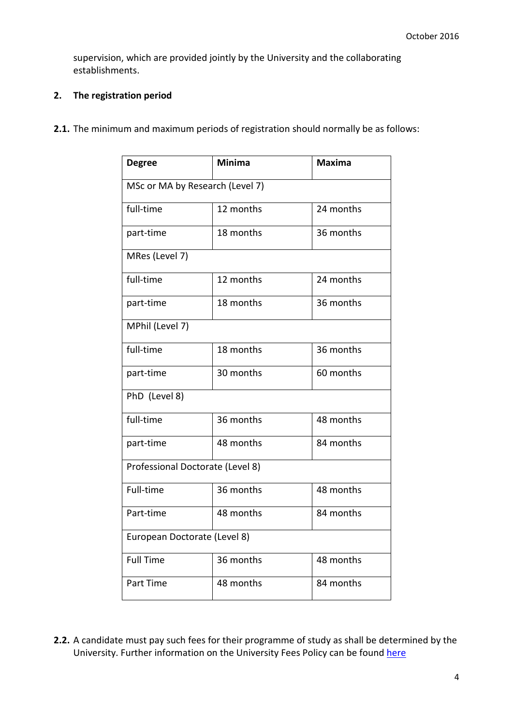supervision, which are provided jointly by the University and the collaborating establishments.

## <span id="page-3-0"></span>**2. The registration period**

**2.1.** The minimum and maximum periods of registration should normally be as follows:

| <b>Degree</b>                    | <b>Minima</b> | <b>Maxima</b> |  |  |
|----------------------------------|---------------|---------------|--|--|
| MSc or MA by Research (Level 7)  |               |               |  |  |
| full-time                        | 12 months     | 24 months     |  |  |
| part-time                        | 18 months     | 36 months     |  |  |
| MRes (Level 7)                   |               |               |  |  |
| full-time                        | 12 months     | 24 months     |  |  |
| part-time                        | 18 months     | 36 months     |  |  |
| MPhil (Level 7)                  |               |               |  |  |
| full-time                        | 18 months     | 36 months     |  |  |
| part-time                        | 30 months     | 60 months     |  |  |
| PhD (Level 8)                    |               |               |  |  |
| full-time                        | 36 months     | 48 months     |  |  |
| part-time                        | 48 months     | 84 months     |  |  |
| Professional Doctorate (Level 8) |               |               |  |  |
| Full-time                        | 36 months     | 48 months     |  |  |
| Part-time                        | 48 months     | 84 months     |  |  |
| European Doctorate (Level 8)     |               |               |  |  |
| <b>Full Time</b>                 | 36 months     | 48 months     |  |  |
| Part Time                        | 48 months     | 84 months     |  |  |

**2.2.** A candidate must pay such fees for their programme of study as shall be determined by the University. Further information on the University Fees Policy can be found [here](http://www.glos.ac.uk/life/finance/Pages/fees.aspx)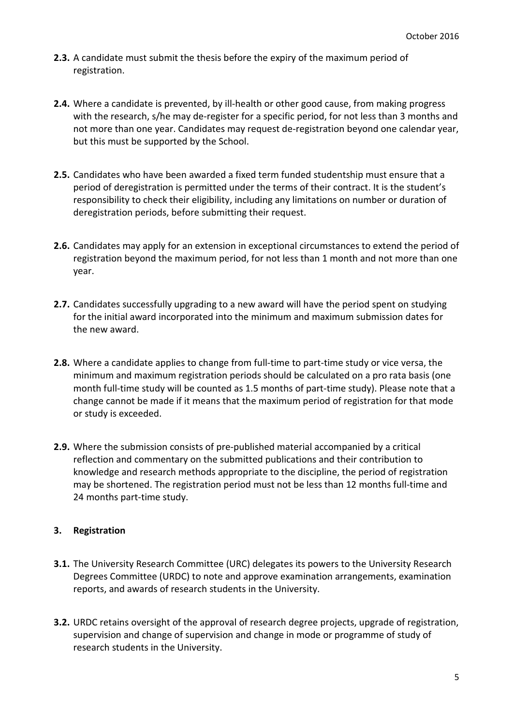- **2.3.** A candidate must submit the thesis before the expiry of the maximum period of registration.
- **2.4.** Where a candidate is prevented, by ill-health or other good cause, from making progress with the research, s/he may de-register for a specific period, for not less than 3 months and not more than one year. Candidates may request de-registration beyond one calendar year, but this must be supported by the School.
- **2.5.** Candidates who have been awarded a fixed term funded studentship must ensure that a period of deregistration is permitted under the terms of their contract. It is the student's responsibility to check their eligibility, including any limitations on number or duration of deregistration periods, before submitting their request.
- **2.6.** Candidates may apply for an extension in exceptional circumstances to extend the period of registration beyond the maximum period, for not less than 1 month and not more than one year.
- **2.7.** Candidates successfully upgrading to a new award will have the period spent on studying for the initial award incorporated into the minimum and maximum submission dates for the new award.
- **2.8.** Where a candidate applies to change from full-time to part-time study or vice versa, the minimum and maximum registration periods should be calculated on a pro rata basis (one month full-time study will be counted as 1.5 months of part-time study). Please note that a change cannot be made if it means that the maximum period of registration for that mode or study is exceeded.
- **2.9.** Where the submission consists of pre-published material accompanied by a critical reflection and commentary on the submitted publications and their contribution to knowledge and research methods appropriate to the discipline, the period of registration may be shortened. The registration period must not be less than 12 months full-time and 24 months part-time study.

## <span id="page-4-0"></span>**3. Registration**

- **3.1.** The University Research Committee (URC) delegates its powers to the University Research Degrees Committee (URDC) to note and approve examination arrangements, examination reports, and awards of research students in the University.
- **3.2.** URDC retains oversight of the approval of research degree projects, upgrade of registration, supervision and change of supervision and change in mode or programme of study of research students in the University.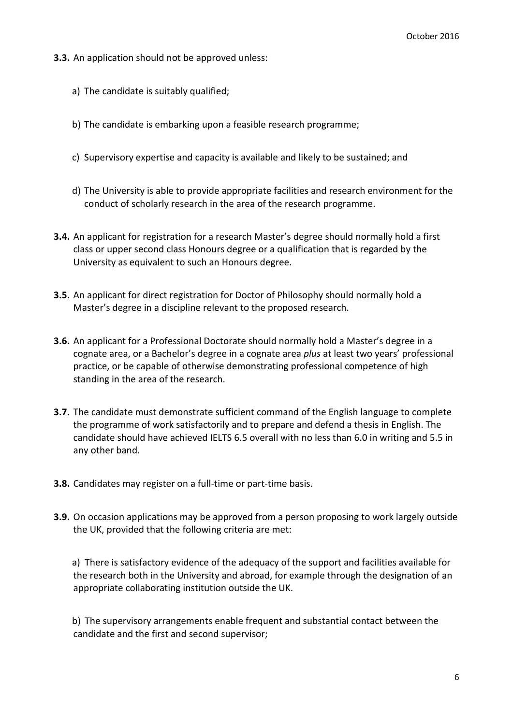- **3.3.** An application should not be approved unless:
	- a) The candidate is suitably qualified;
	- b) The candidate is embarking upon a feasible research programme;
	- c) Supervisory expertise and capacity is available and likely to be sustained; and
	- d) The University is able to provide appropriate facilities and research environment for the conduct of scholarly research in the area of the research programme.
- **3.4.** An applicant for registration for a research Master's degree should normally hold a first class or upper second class Honours degree or a qualification that is regarded by the University as equivalent to such an Honours degree.
- **3.5.** An applicant for direct registration for Doctor of Philosophy should normally hold a Master's degree in a discipline relevant to the proposed research.
- **3.6.** An applicant for a Professional Doctorate should normally hold a Master's degree in a cognate area, or a Bachelor's degree in a cognate area *plus* at least two years' professional practice, or be capable of otherwise demonstrating professional competence of high standing in the area of the research.
- **3.7.** The candidate must demonstrate sufficient command of the English language to complete the programme of work satisfactorily and to prepare and defend a thesis in English. The candidate should have achieved IELTS 6.5 overall with no less than 6.0 in writing and 5.5 in any other band.
- **3.8.** Candidates may register on a full-time or part-time basis.
- **3.9.** On occasion applications may be approved from a person proposing to work largely outside the UK, provided that the following criteria are met:

a) There is satisfactory evidence of the adequacy of the support and facilities available for the research both in the University and abroad, for example through the designation of an appropriate collaborating institution outside the UK.

b) The supervisory arrangements enable frequent and substantial contact between the candidate and the first and second supervisor;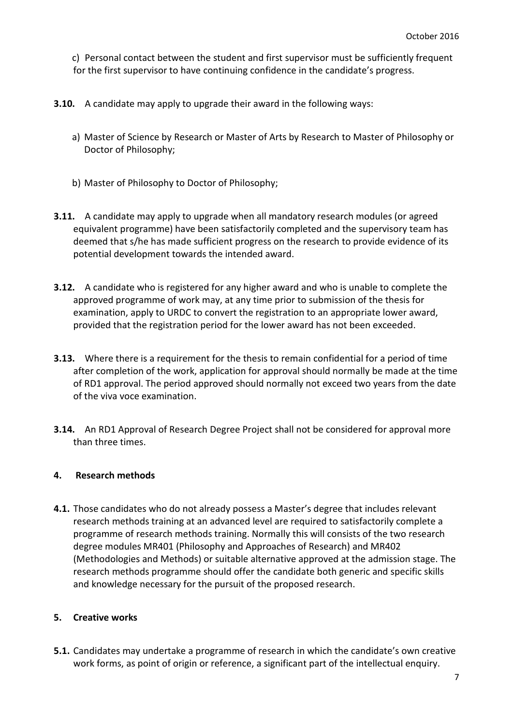c) Personal contact between the student and first supervisor must be sufficiently frequent for the first supervisor to have continuing confidence in the candidate's progress.

- **3.10.** A candidate may apply to upgrade their award in the following ways:
	- a) Master of Science by Research or Master of Arts by Research to Master of Philosophy or Doctor of Philosophy;
	- b) Master of Philosophy to Doctor of Philosophy;
- **3.11.** A candidate may apply to upgrade when all mandatory research modules (or agreed equivalent programme) have been satisfactorily completed and the supervisory team has deemed that s/he has made sufficient progress on the research to provide evidence of its potential development towards the intended award.
- **3.12.** A candidate who is registered for any higher award and who is unable to complete the approved programme of work may, at any time prior to submission of the thesis for examination, apply to URDC to convert the registration to an appropriate lower award, provided that the registration period for the lower award has not been exceeded.
- **3.13.** Where there is a requirement for the thesis to remain confidential for a period of time after completion of the work, application for approval should normally be made at the time of RD1 approval. The period approved should normally not exceed two years from the date of the viva voce examination.
- **3.14.** An RD1 Approval of Research Degree Project shall not be considered for approval more than three times.

#### <span id="page-6-0"></span>**4. Research methods**

**4.1.** Those candidates who do not already possess a Master's degree that includes relevant research methods training at an advanced level are required to satisfactorily complete a programme of research methods training. Normally this will consists of the two research degree modules MR401 (Philosophy and Approaches of Research) and MR402 (Methodologies and Methods) or suitable alternative approved at the admission stage. The research methods programme should offer the candidate both generic and specific skills and knowledge necessary for the pursuit of the proposed research.

## <span id="page-6-1"></span>**5. Creative works**

**5.1.** Candidates may undertake a programme of research in which the candidate's own creative work forms, as point of origin or reference, a significant part of the intellectual enquiry.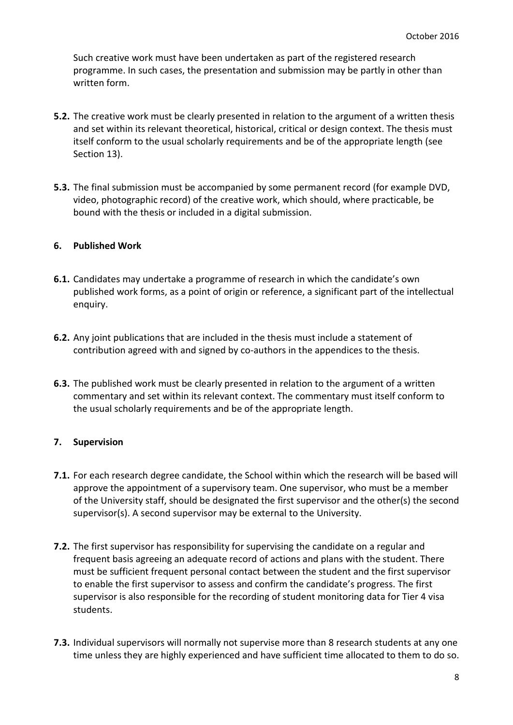Such creative work must have been undertaken as part of the registered research programme. In such cases, the presentation and submission may be partly in other than written form.

- **5.2.** The creative work must be clearly presented in relation to the argument of a written thesis and set within its relevant theoretical, historical, critical or design context. The thesis must itself conform to the usual scholarly requirements and be of the appropriate length (see Section 13).
- **5.3.** The final submission must be accompanied by some permanent record (for example DVD, video, photographic record) of the creative work, which should, where practicable, be bound with the thesis or included in a digital submission.

#### <span id="page-7-0"></span>**6. Published Work**

- **6.1.** Candidates may undertake a programme of research in which the candidate's own published work forms, as a point of origin or reference, a significant part of the intellectual enquiry.
- **6.2.** Any joint publications that are included in the thesis must include a statement of contribution agreed with and signed by co-authors in the appendices to the thesis.
- **6.3.** The published work must be clearly presented in relation to the argument of a written commentary and set within its relevant context. The commentary must itself conform to the usual scholarly requirements and be of the appropriate length.

## <span id="page-7-1"></span>**7. Supervision**

- **7.1.** For each research degree candidate, the School within which the research will be based will approve the appointment of a supervisory team. One supervisor, who must be a member of the University staff, should be designated the first supervisor and the other(s) the second supervisor(s). A second supervisor may be external to the University.
- **7.2.** The first supervisor has responsibility for supervising the candidate on a regular and frequent basis agreeing an adequate record of actions and plans with the student. There must be sufficient frequent personal contact between the student and the first supervisor to enable the first supervisor to assess and confirm the candidate's progress. The first supervisor is also responsible for the recording of student monitoring data for Tier 4 visa students.
- **7.3.** Individual supervisors will normally not supervise more than 8 research students at any one time unless they are highly experienced and have sufficient time allocated to them to do so.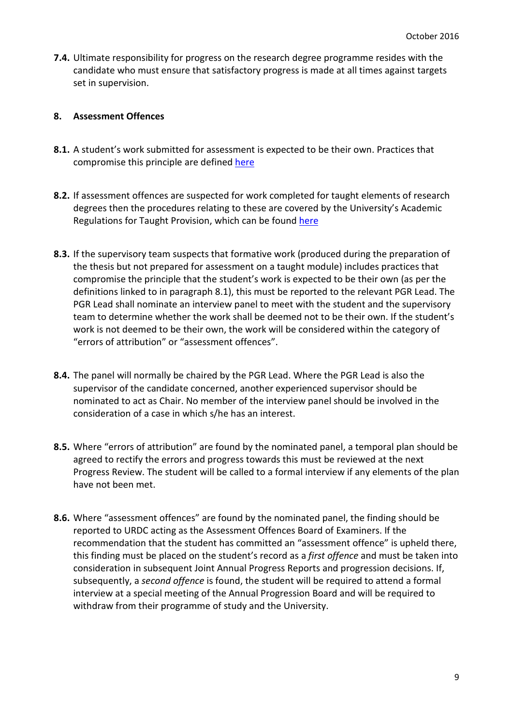**7.4.** Ultimate responsibility for progress on the research degree programme resides with the candidate who must ensure that satisfactory progress is made at all times against targets set in supervision.

#### <span id="page-8-0"></span>**8. Assessment Offences**

- **8.1.** A student's work submitted for assessment is expected to be their own. Practices that compromise this principle are defined [here](https://infonet.glos.ac.uk/departments/registry/committees/fasqc-as/papers/25/fasqc_as_75_14%20assessment%20offences%20definitions.pdf)
- **8.2.** If assessment offences are suspected for work completed for taught elements of research degrees then the procedures relating to these are covered by the University's Academic Regulations for Taught Provision, which can be found [here](http://www.glos.ac.uk/docs/download/Business/academic-regulations-for-taught-provision.pdf)
- **8.3.** If the supervisory team suspects that formative work (produced during the preparation of the thesis but not prepared for assessment on a taught module) includes practices that compromise the principle that the student's work is expected to be their own (as per the definitions linked to in paragraph 8.1), this must be reported to the relevant PGR Lead. The PGR Lead shall nominate an interview panel to meet with the student and the supervisory team to determine whether the work shall be deemed not to be their own. If the student's work is not deemed to be their own, the work will be considered within the category of "errors of attribution" or "assessment offences".
- **8.4.** The panel will normally be chaired by the PGR Lead. Where the PGR Lead is also the supervisor of the candidate concerned, another experienced supervisor should be nominated to act as Chair. No member of the interview panel should be involved in the consideration of a case in which s/he has an interest.
- **8.5.** Where "errors of attribution" are found by the nominated panel, a temporal plan should be agreed to rectify the errors and progress towards this must be reviewed at the next Progress Review. The student will be called to a formal interview if any elements of the plan have not been met.
- **8.6.** Where "assessment offences" are found by the nominated panel, the finding should be reported to URDC acting as the Assessment Offences Board of Examiners. If the recommendation that the student has committed an "assessment offence" is upheld there, this finding must be placed on the student's record as a *first offence* and must be taken into consideration in subsequent Joint Annual Progress Reports and progression decisions. If, subsequently, a *second offence* is found, the student will be required to attend a formal interview at a special meeting of the Annual Progression Board and will be required to withdraw from their programme of study and the University.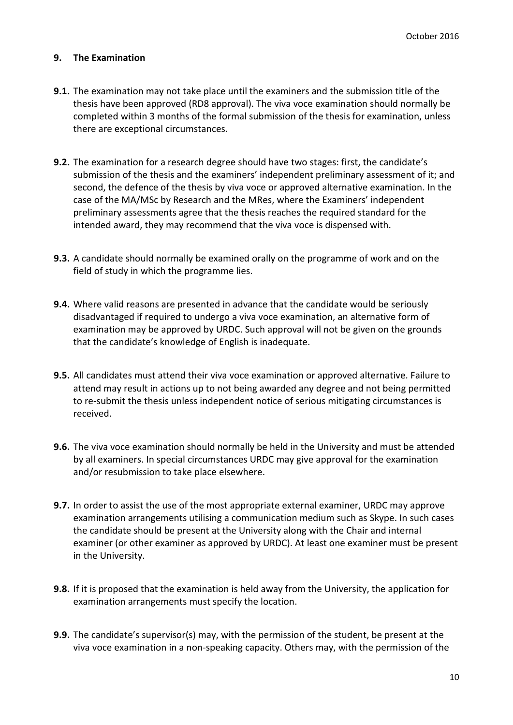## <span id="page-9-0"></span>**9. The Examination**

- **9.1.** The examination may not take place until the examiners and the submission title of the thesis have been approved (RD8 approval). The viva voce examination should normally be completed within 3 months of the formal submission of the thesis for examination, unless there are exceptional circumstances.
- **9.2.** The examination for a research degree should have two stages: first, the candidate's submission of the thesis and the examiners' independent preliminary assessment of it; and second, the defence of the thesis by viva voce or approved alternative examination. In the case of the MA/MSc by Research and the MRes, where the Examiners' independent preliminary assessments agree that the thesis reaches the required standard for the intended award, they may recommend that the viva voce is dispensed with.
- **9.3.** A candidate should normally be examined orally on the programme of work and on the field of study in which the programme lies.
- **9.4.** Where valid reasons are presented in advance that the candidate would be seriously disadvantaged if required to undergo a viva voce examination, an alternative form of examination may be approved by URDC. Such approval will not be given on the grounds that the candidate's knowledge of English is inadequate.
- **9.5.** All candidates must attend their viva voce examination or approved alternative. Failure to attend may result in actions up to not being awarded any degree and not being permitted to re-submit the thesis unless independent notice of serious mitigating circumstances is received.
- **9.6.** The viva voce examination should normally be held in the University and must be attended by all examiners. In special circumstances URDC may give approval for the examination and/or resubmission to take place elsewhere.
- **9.7.** In order to assist the use of the most appropriate external examiner, URDC may approve examination arrangements utilising a communication medium such as Skype. In such cases the candidate should be present at the University along with the Chair and internal examiner (or other examiner as approved by URDC). At least one examiner must be present in the University.
- **9.8.** If it is proposed that the examination is held away from the University, the application for examination arrangements must specify the location.
- **9.9.** The candidate's supervisor(s) may, with the permission of the student, be present at the viva voce examination in a non-speaking capacity. Others may, with the permission of the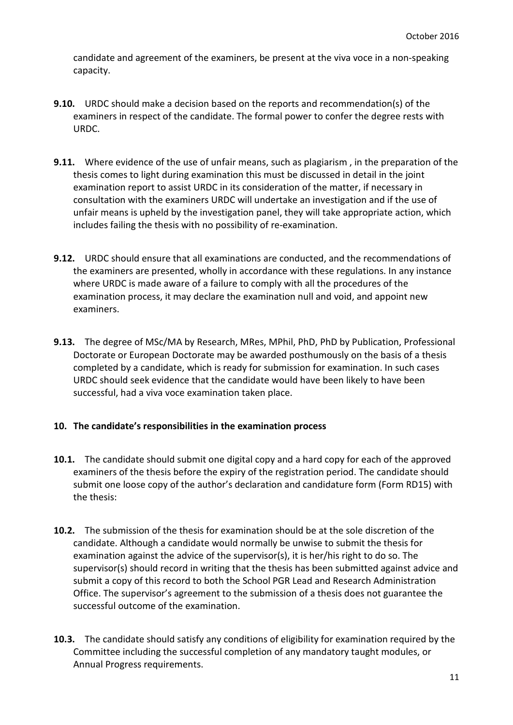candidate and agreement of the examiners, be present at the viva voce in a non-speaking capacity.

- **9.10.** URDC should make a decision based on the reports and recommendation(s) of the examiners in respect of the candidate. The formal power to confer the degree rests with URDC.
- **9.11.** Where evidence of the use of unfair means, such as plagiarism , in the preparation of the thesis comes to light during examination this must be discussed in detail in the joint examination report to assist URDC in its consideration of the matter, if necessary in consultation with the examiners URDC will undertake an investigation and if the use of unfair means is upheld by the investigation panel, they will take appropriate action, which includes failing the thesis with no possibility of re-examination.
- **9.12.** URDC should ensure that all examinations are conducted, and the recommendations of the examiners are presented, wholly in accordance with these regulations. In any instance where URDC is made aware of a failure to comply with all the procedures of the examination process, it may declare the examination null and void, and appoint new examiners.
- **9.13.** The degree of MSc/MA by Research, MRes, MPhil, PhD, PhD by Publication, Professional Doctorate or European Doctorate may be awarded posthumously on the basis of a thesis completed by a candidate, which is ready for submission for examination. In such cases URDC should seek evidence that the candidate would have been likely to have been successful, had a viva voce examination taken place.

## <span id="page-10-0"></span>**10. The candidate's responsibilities in the examination process**

- **10.1.** The candidate should submit one digital copy and a hard copy for each of the approved examiners of the thesis before the expiry of the registration period. The candidate should submit one loose copy of the author's declaration and candidature form (Form RD15) with the thesis:
- **10.2.** The submission of the thesis for examination should be at the sole discretion of the candidate. Although a candidate would normally be unwise to submit the thesis for examination against the advice of the supervisor(s), it is her/his right to do so. The supervisor(s) should record in writing that the thesis has been submitted against advice and submit a copy of this record to both the School PGR Lead and Research Administration Office. The supervisor's agreement to the submission of a thesis does not guarantee the successful outcome of the examination.
- **10.3.** The candidate should satisfy any conditions of eligibility for examination required by the Committee including the successful completion of any mandatory taught modules, or Annual Progress requirements.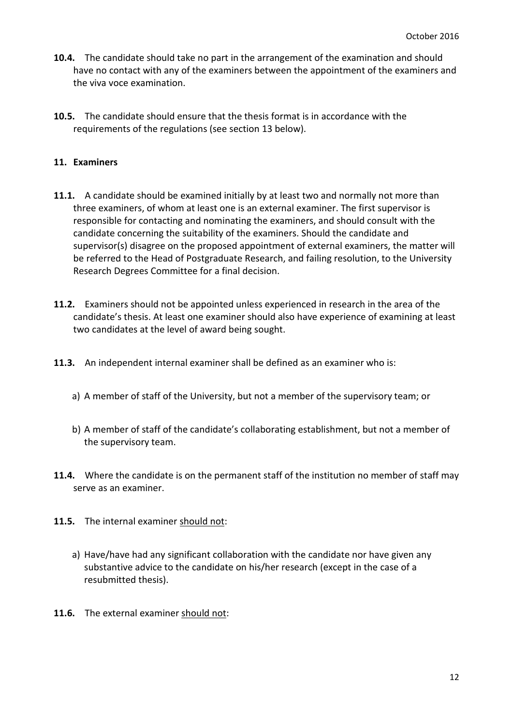- **10.4.** The candidate should take no part in the arrangement of the examination and should have no contact with any of the examiners between the appointment of the examiners and the viva voce examination.
- **10.5.** The candidate should ensure that the thesis format is in accordance with the requirements of the regulations (see section 13 below).

#### <span id="page-11-0"></span>**11. Examiners**

- **11.1.** A candidate should be examined initially by at least two and normally not more than three examiners, of whom at least one is an external examiner. The first supervisor is responsible for contacting and nominating the examiners, and should consult with the candidate concerning the suitability of the examiners. Should the candidate and supervisor(s) disagree on the proposed appointment of external examiners, the matter will be referred to the Head of Postgraduate Research, and failing resolution, to the University Research Degrees Committee for a final decision.
- **11.2.** Examiners should not be appointed unless experienced in research in the area of the candidate's thesis. At least one examiner should also have experience of examining at least two candidates at the level of award being sought.
- **11.3.** An independent internal examiner shall be defined as an examiner who is:
	- a) A member of staff of the University, but not a member of the supervisory team; or
	- b) A member of staff of the candidate's collaborating establishment, but not a member of the supervisory team.
- **11.4.** Where the candidate is on the permanent staff of the institution no member of staff may serve as an examiner.
- **11.5.** The internal examiner should not:
	- a) Have/have had any significant collaboration with the candidate nor have given any substantive advice to the candidate on his/her research (except in the case of a resubmitted thesis).
- **11.6.** The external examiner should not: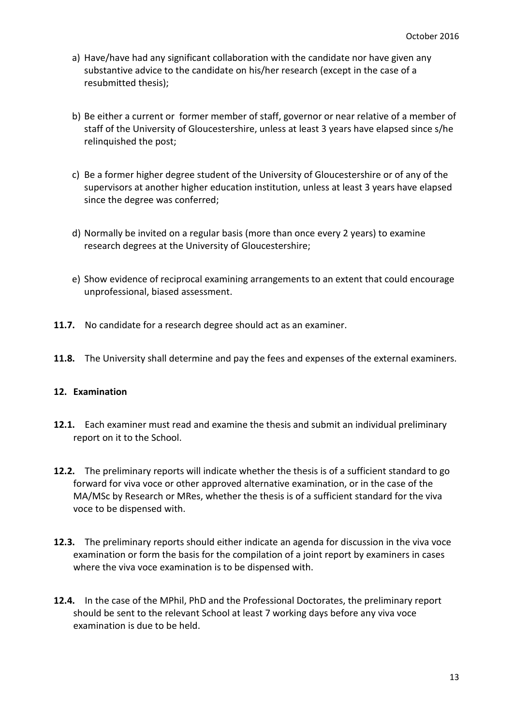- a) Have/have had any significant collaboration with the candidate nor have given any substantive advice to the candidate on his/her research (except in the case of a resubmitted thesis);
- b) Be either a current or former member of staff, governor or near relative of a member of staff of the University of Gloucestershire, unless at least 3 years have elapsed since s/he relinquished the post;
- c) Be a former higher degree student of the University of Gloucestershire or of any of the supervisors at another higher education institution, unless at least 3 years have elapsed since the degree was conferred;
- d) Normally be invited on a regular basis (more than once every 2 years) to examine research degrees at the University of Gloucestershire;
- e) Show evidence of reciprocal examining arrangements to an extent that could encourage unprofessional, biased assessment.
- **11.7.** No candidate for a research degree should act as an examiner.
- **11.8.** The University shall determine and pay the fees and expenses of the external examiners.

## <span id="page-12-0"></span>**12. Examination**

- **12.1.** Each examiner must read and examine the thesis and submit an individual preliminary report on it to the School.
- **12.2.** The preliminary reports will indicate whether the thesis is of a sufficient standard to go forward for viva voce or other approved alternative examination, or in the case of the MA/MSc by Research or MRes, whether the thesis is of a sufficient standard for the viva voce to be dispensed with.
- **12.3.** The preliminary reports should either indicate an agenda for discussion in the viva voce examination or form the basis for the compilation of a joint report by examiners in cases where the viva voce examination is to be dispensed with.
- **12.4.** In the case of the MPhil, PhD and the Professional Doctorates, the preliminary report should be sent to the relevant School at least 7 working days before any viva voce examination is due to be held.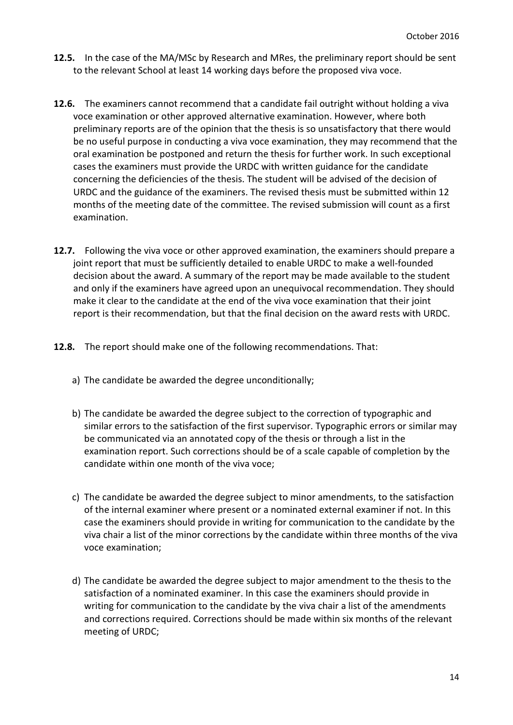- **12.5.** In the case of the MA/MSc by Research and MRes, the preliminary report should be sent to the relevant School at least 14 working days before the proposed viva voce.
- **12.6.** The examiners cannot recommend that a candidate fail outright without holding a viva voce examination or other approved alternative examination. However, where both preliminary reports are of the opinion that the thesis is so unsatisfactory that there would be no useful purpose in conducting a viva voce examination, they may recommend that the oral examination be postponed and return the thesis for further work. In such exceptional cases the examiners must provide the URDC with written guidance for the candidate concerning the deficiencies of the thesis. The student will be advised of the decision of URDC and the guidance of the examiners. The revised thesis must be submitted within 12 months of the meeting date of the committee. The revised submission will count as a first examination.
- **12.7.** Following the viva voce or other approved examination, the examiners should prepare a joint report that must be sufficiently detailed to enable URDC to make a well-founded decision about the award. A summary of the report may be made available to the student and only if the examiners have agreed upon an unequivocal recommendation. They should make it clear to the candidate at the end of the viva voce examination that their joint report is their recommendation, but that the final decision on the award rests with URDC.
- **12.8.** The report should make one of the following recommendations. That:
	- a) The candidate be awarded the degree unconditionally;
	- b) The candidate be awarded the degree subject to the correction of typographic and similar errors to the satisfaction of the first supervisor. Typographic errors or similar may be communicated via an annotated copy of the thesis or through a list in the examination report. Such corrections should be of a scale capable of completion by the candidate within one month of the viva voce;
	- c) The candidate be awarded the degree subject to minor amendments, to the satisfaction of the internal examiner where present or a nominated external examiner if not. In this case the examiners should provide in writing for communication to the candidate by the viva chair a list of the minor corrections by the candidate within three months of the viva voce examination;
	- d) The candidate be awarded the degree subject to major amendment to the thesis to the satisfaction of a nominated examiner. In this case the examiners should provide in writing for communication to the candidate by the viva chair a list of the amendments and corrections required. Corrections should be made within six months of the relevant meeting of URDC;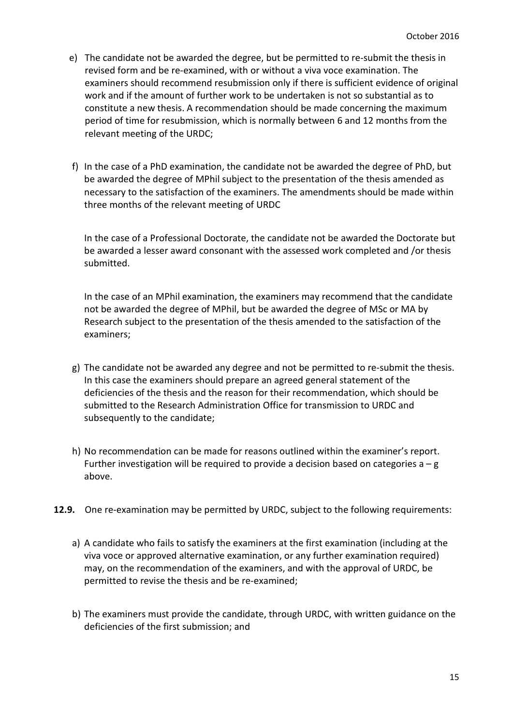- e) The candidate not be awarded the degree, but be permitted to re-submit the thesis in revised form and be re-examined, with or without a viva voce examination. The examiners should recommend resubmission only if there is sufficient evidence of original work and if the amount of further work to be undertaken is not so substantial as to constitute a new thesis. A recommendation should be made concerning the maximum period of time for resubmission, which is normally between 6 and 12 months from the relevant meeting of the URDC;
- f) In the case of a PhD examination, the candidate not be awarded the degree of PhD, but be awarded the degree of MPhil subject to the presentation of the thesis amended as necessary to the satisfaction of the examiners. The amendments should be made within three months of the relevant meeting of URDC

In the case of a Professional Doctorate, the candidate not be awarded the Doctorate but be awarded a lesser award consonant with the assessed work completed and /or thesis submitted.

In the case of an MPhil examination, the examiners may recommend that the candidate not be awarded the degree of MPhil, but be awarded the degree of MSc or MA by Research subject to the presentation of the thesis amended to the satisfaction of the examiners;

- g) The candidate not be awarded any degree and not be permitted to re-submit the thesis. In this case the examiners should prepare an agreed general statement of the deficiencies of the thesis and the reason for their recommendation, which should be submitted to the Research Administration Office for transmission to URDC and subsequently to the candidate;
- h) No recommendation can be made for reasons outlined within the examiner's report. Further investigation will be required to provide a decision based on categories  $a - g$ above.
- **12.9.** One re-examination may be permitted by URDC, subject to the following requirements:
	- a) A candidate who fails to satisfy the examiners at the first examination (including at the viva voce or approved alternative examination, or any further examination required) may, on the recommendation of the examiners, and with the approval of URDC, be permitted to revise the thesis and be re-examined;
	- b) The examiners must provide the candidate, through URDC, with written guidance on the deficiencies of the first submission; and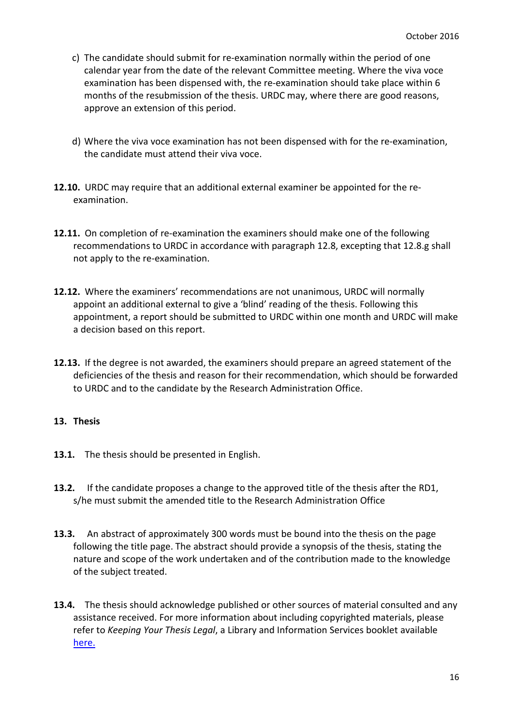- c) The candidate should submit for re-examination normally within the period of one calendar year from the date of the relevant Committee meeting. Where the viva voce examination has been dispensed with, the re-examination should take place within 6 months of the resubmission of the thesis. URDC may, where there are good reasons, approve an extension of this period.
- d) Where the viva voce examination has not been dispensed with for the re-examination, the candidate must attend their viva voce.
- **12.10.** URDC may require that an additional external examiner be appointed for the reexamination.
- **12.11.** On completion of re-examination the examiners should make one of the following recommendations to URDC in accordance with paragraph 12.8, excepting that 12.8.g shall not apply to the re-examination.
- **12.12.** Where the examiners' recommendations are not unanimous, URDC will normally appoint an additional external to give a 'blind' reading of the thesis. Following this appointment, a report should be submitted to URDC within one month and URDC will make a decision based on this report.
- **12.13.** If the degree is not awarded, the examiners should prepare an agreed statement of the deficiencies of the thesis and reason for their recommendation, which should be forwarded to URDC and to the candidate by the Research Administration Office.

#### <span id="page-15-0"></span>**13. Thesis**

- **13.1.** The thesis should be presented in English.
- **13.2.** If the candidate proposes a change to the approved title of the thesis after the RD1, s/he must submit the amended title to the Research Administration Office
- **13.3.** An abstract of approximately 300 words must be bound into the thesis on the page following the title page. The abstract should provide a synopsis of the thesis, stating the nature and scope of the work undertaken and of the contribution made to the knowledge of the subject treated.
- **13.4.** The thesis should acknowledge published or other sources of material consulted and any assistance received. For more information about including copyrighted materials, please refer to *Keeping Your Thesis Legal*, a Library and Information Services booklet available [here.](http://www.glos.ac.uk/docs/download/governance/keeping-your-thesis-legal.pdf)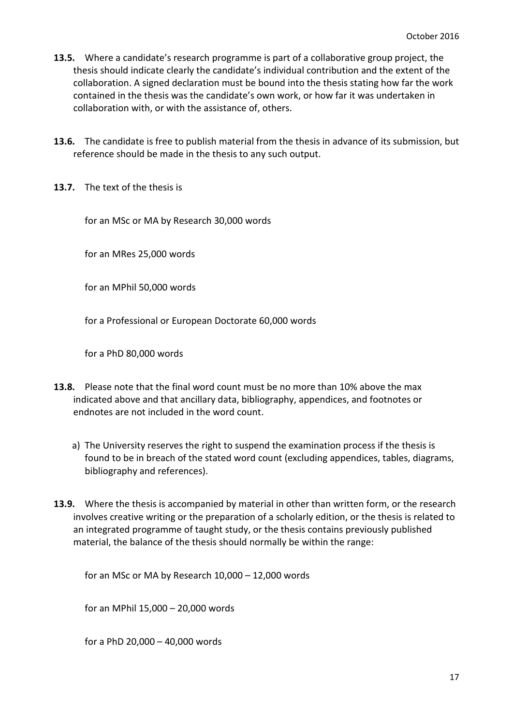- **13.5.** Where a candidate's research programme is part of a collaborative group project, the thesis should indicate clearly the candidate's individual contribution and the extent of the collaboration. A signed declaration must be bound into the thesis stating how far the work contained in the thesis was the candidate's own work, or how far it was undertaken in collaboration with, or with the assistance of, others.
- **13.6.** The candidate is free to publish material from the thesis in advance of its submission, but reference should be made in the thesis to any such output.
- **13.7.** The text of the thesis is

for an MSc or MA by Research 30,000 words

for an MRes 25,000 words

for an MPhil 50,000 words

for a Professional or European Doctorate 60,000 words

for a PhD 80,000 words

- **13.8.** Please note that the final word count must be no more than 10% above the max indicated above and that ancillary data, bibliography, appendices, and footnotes or endnotes are not included in the word count.
	- a) The University reserves the right to suspend the examination process if the thesis is found to be in breach of the stated word count (excluding appendices, tables, diagrams, bibliography and references).
- **13.9.** Where the thesis is accompanied by material in other than written form, or the research involves creative writing or the preparation of a scholarly edition, or the thesis is related to an integrated programme of taught study, or the thesis contains previously published material, the balance of the thesis should normally be within the range:

for an MSc or MA by Research 10,000 – 12,000 words

for an MPhil 15,000 – 20,000 words

for a PhD 20,000 – 40,000 words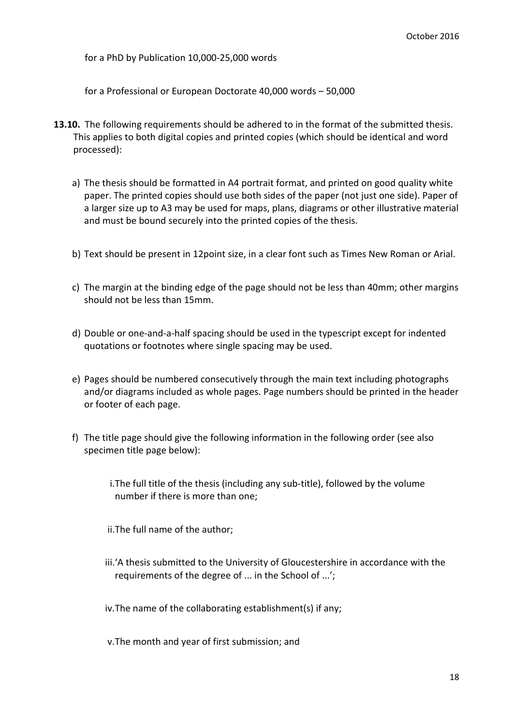for a PhD by Publication 10,000-25,000 words

for a Professional or European Doctorate 40,000 words – 50,000

- **13.10.** The following requirements should be adhered to in the format of the submitted thesis. This applies to both digital copies and printed copies (which should be identical and word processed):
	- a) The thesis should be formatted in A4 portrait format, and printed on good quality white paper. The printed copies should use both sides of the paper (not just one side). Paper of a larger size up to A3 may be used for maps, plans, diagrams or other illustrative material and must be bound securely into the printed copies of the thesis.
	- b) Text should be present in 12point size, in a clear font such as Times New Roman or Arial.
	- c) The margin at the binding edge of the page should not be less than 40mm; other margins should not be less than 15mm.
	- d) Double or one-and-a-half spacing should be used in the typescript except for indented quotations or footnotes where single spacing may be used.
	- e) Pages should be numbered consecutively through the main text including photographs and/or diagrams included as whole pages. Page numbers should be printed in the header or footer of each page.
	- f) The title page should give the following information in the following order (see also specimen title page below):
		- i.The full title of the thesis (including any sub-title), followed by the volume number if there is more than one;

ii.The full name of the author;

iii.'A thesis submitted to the University of Gloucestershire in accordance with the requirements of the degree of ... in the School of ...';

iv.The name of the collaborating establishment(s) if any;

v.The month and year of first submission; and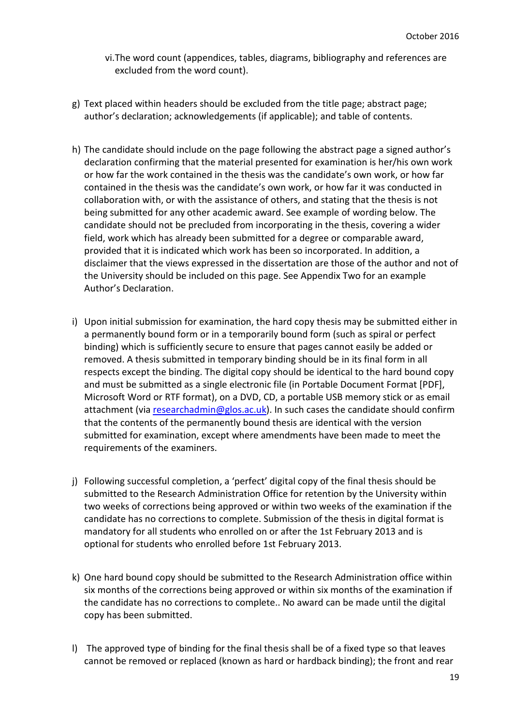- vi.The word count (appendices, tables, diagrams, bibliography and references are excluded from the word count).
- g) Text placed within headers should be excluded from the title page; abstract page; author's declaration; acknowledgements (if applicable); and table of contents.
- h) The candidate should include on the page following the abstract page a signed author's declaration confirming that the material presented for examination is her/his own work or how far the work contained in the thesis was the candidate's own work, or how far contained in the thesis was the candidate's own work, or how far it was conducted in collaboration with, or with the assistance of others, and stating that the thesis is not being submitted for any other academic award. See example of wording below. The candidate should not be precluded from incorporating in the thesis, covering a wider field, work which has already been submitted for a degree or comparable award, provided that it is indicated which work has been so incorporated. In addition, a disclaimer that the views expressed in the dissertation are those of the author and not of the University should be included on this page. See Appendix Two for an example Author's Declaration.
- i) Upon initial submission for examination, the hard copy thesis may be submitted either in a permanently bound form or in a temporarily bound form (such as spiral or perfect binding) which is sufficiently secure to ensure that pages cannot easily be added or removed. A thesis submitted in temporary binding should be in its final form in all respects except the binding. The digital copy should be identical to the hard bound copy and must be submitted as a single electronic file (in Portable Document Format [PDF], Microsoft Word or RTF format), on a DVD, CD, a portable USB memory stick or as email attachment (via [researchadmin@glos.ac.uk\)](mailto:researchadmin@glos.ac.uk). In such cases the candidate should confirm that the contents of the permanently bound thesis are identical with the version submitted for examination, except where amendments have been made to meet the requirements of the examiners.
- j) Following successful completion, a 'perfect' digital copy of the final thesis should be submitted to the Research Administration Office for retention by the University within two weeks of corrections being approved or within two weeks of the examination if the candidate has no corrections to complete. Submission of the thesis in digital format is mandatory for all students who enrolled on or after the 1st February 2013 and is optional for students who enrolled before 1st February 2013.
- k) One hard bound copy should be submitted to the Research Administration office within six months of the corrections being approved or within six months of the examination if the candidate has no corrections to complete.. No award can be made until the digital copy has been submitted.
- l) The approved type of binding for the final thesis shall be of a fixed type so that leaves cannot be removed or replaced (known as hard or hardback binding); the front and rear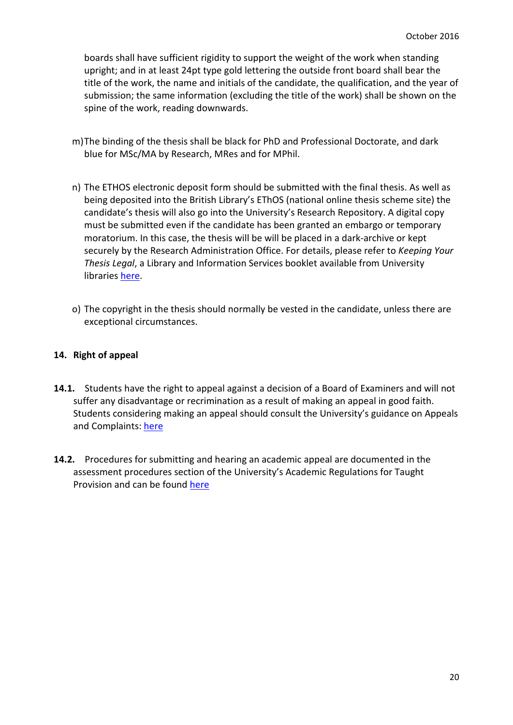boards shall have sufficient rigidity to support the weight of the work when standing upright; and in at least 24pt type gold lettering the outside front board shall bear the title of the work, the name and initials of the candidate, the qualification, and the year of submission; the same information (excluding the title of the work) shall be shown on the spine of the work, reading downwards.

- m)The binding of the thesis shall be black for PhD and Professional Doctorate, and dark blue for MSc/MA by Research, MRes and for MPhil.
- n) The ETHOS electronic deposit form should be submitted with the final thesis. As well as being deposited into the British Library's EThOS (national online thesis scheme site) the candidate's thesis will also go into the University's Research Repository. A digital copy must be submitted even if the candidate has been granted an embargo or temporary moratorium. In this case, the thesis will be will be placed in a dark-archive or kept securely by the Research Administration Office. For details, please refer to *Keeping Your Thesis Legal*, a Library and Information Services booklet available from University libraries [here.](http://www.glos.ac.uk/docs/download/governance/keeping-your-thesis-legal.pdf)
- o) The copyright in the thesis should normally be vested in the candidate, unless there are exceptional circumstances.

#### <span id="page-19-0"></span>**14. Right of appeal**

- **14.1.** Students have the right to appeal against a decision of a Board of Examiners and will not suffer any disadvantage or recrimination as a result of making an appeal in good faith. Students considering making an appeal should consult the University's guidance on Appeals and Complaints: [here](http://www.glos.ac.uk/governance/pages/appeals-and-complaints.aspx)
- **14.2.** Procedures for submitting and hearing an academic appeal are documented in the assessment procedures section of the University's Academic Regulations for Taught Provision and can be found [here](http://www.glos.ac.uk/docs/download/Business/academic-regulations-for-taught-provision.pdf)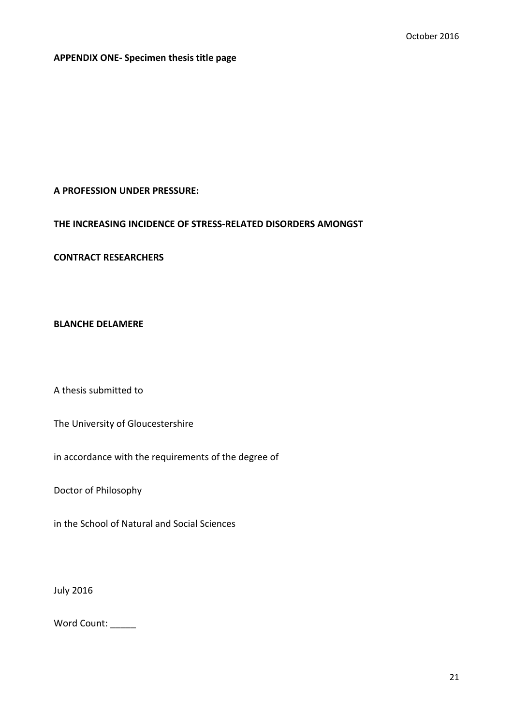<span id="page-20-0"></span>**APPENDIX ONE- Specimen thesis title page**

#### **A PROFESSION UNDER PRESSURE:**

## **THE INCREASING INCIDENCE OF STRESS-RELATED DISORDERS AMONGST**

**CONTRACT RESEARCHERS**

#### **BLANCHE DELAMERE**

A thesis submitted to

The University of Gloucestershire

in accordance with the requirements of the degree of

Doctor of Philosophy

in the School of Natural and Social Sciences

July 2016

Word Count: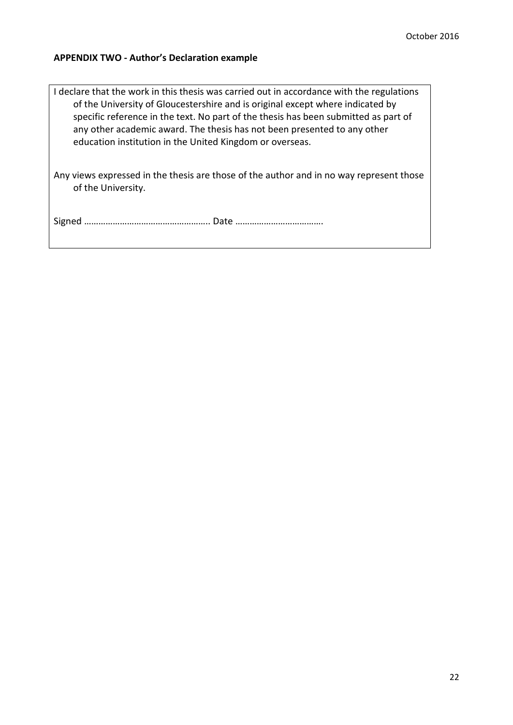#### <span id="page-21-0"></span>**APPENDIX TWO - Author's Declaration example**

I declare that the work in this thesis was carried out in accordance with the regulations of the University of Gloucestershire and is original except where indicated by specific reference in the text. No part of the thesis has been submitted as part of any other academic award. The thesis has not been presented to any other education institution in the United Kingdom or overseas.

Any views expressed in the thesis are those of the author and in no way represent those of the University.

Signed …………………………………………….. Date ……………………………….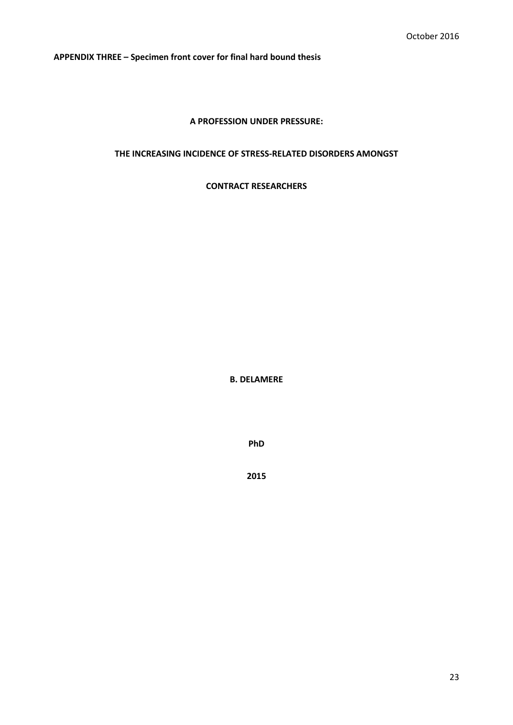**APPENDIX THREE – Specimen front cover for final hard bound thesis**

#### **A PROFESSION UNDER PRESSURE:**

#### **THE INCREASING INCIDENCE OF STRESS-RELATED DISORDERS AMONGST**

**CONTRACT RESEARCHERS**

**B. DELAMERE**

**PhD**

**2015**